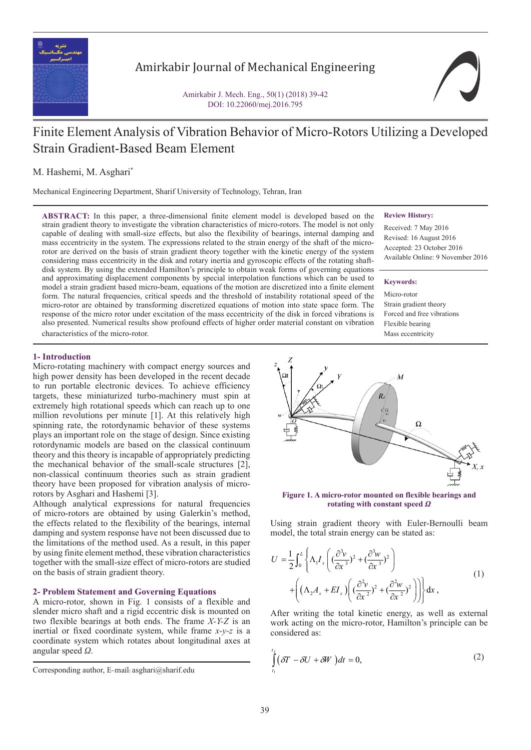

Amirkabir Journal of Mechanical Engineering

Amirkabir J. Mech. Eng., 50(1) (2018) 39-42 DOI: 10.22060/mej.2016.795

# Finite Element Analysis of Vibration Behavior of Micro-Rotors Utilizing a Developed Strain Gradient-Based Beam Element

M. Hashemi, M. Asghari\*

Mechanical Engineering Department, Sharif University of Technology, Tehran, Iran

**ABSTRACT:** In this paper, a three-dimensional finite element model is developed based on the strain gradient theory to investigate the vibration characteristics of micro-rotors. The model is not only capable of dealing with small-size effects, but also the flexibility of bearings, internal damping and mass eccentricity in the system. The expressions related to the strain energy of the shaft of the microrotor are derived on the basis of strain gradient theory together with the kinetic energy of the system considering mass eccentricity in the disk and rotary inertia and gyroscopic effects of the rotating shaftdisk system. By using the extended Hamilton's principle to obtain weak forms of governing equations and approximating displacement components by special interpolation functions which can be used to model a strain gradient based micro-beam, equations of the motion are discretized into a finite element form. The natural frequencies, critical speeds and the threshold of instability rotational speed of the micro-rotor are obtained by transforming discretized equations of motion into state space form. The response of the micro rotor under excitation of the mass eccentricity of the disk in forced vibrations is also presented. Numerical results show profound effects of higher order material constant on vibration characteristics of the micro-rotor.

#### **Review History:**

Received: 7 May 2016 Revised: 16 August 2016 Accepted: 23 October 2016 Available Online: 9 November 2016

#### **Keywords:**

Micro-rotor Strain gradient theory Forced and free vibrations Flexible bearing Mass eccentricity

## **1- Introduction**

Micro-rotating machinery with compact energy sources and high power density has been developed in the recent decade to run portable electronic devices. To achieve efficiency targets, these miniaturized turbo-machinery must spin at extremely high rotational speeds which can reach up to one million revolutions per minute [1]. At this relatively high spinning rate, the rotordynamic behavior of these systems plays an important role on the stage of design. Since existing rotordynamic models are based on the classical continuum theory and this theory is incapable of appropriately predicting the mechanical behavior of the small-scale structures [2], non-classical continuum theories such as strain gradient theory have been proposed for vibration analysis of microrotors by Asghari and Hashemi [3].

Although analytical expressions for natural frequencies of micro-rotors are obtained by using Galerkin's method, the effects related to the flexibility of the bearings, internal damping and system response have not been discussed due to the limitations of the method used. As a result, in this paper by using finite element method, these vibration characteristics together with the small-size effect of micro-rotors are studied on the basis of strain gradient theory.

## **2- Problem Statement and Governing Equations**

A micro-rotor, shown in Fig. 1 consists of a flexible and slender micro shaft and a rigid eccentric disk is mounted on two flexible bearings at both ends. The frame *X-Y-Z* is an inertial or fixed coordinate system, while frame *x-y-z* is a coordinate system which rotates about longitudinal axes at angular speed *Ω*.



**Figure 1. A micro-rotor mounted on flexible bearings and rotating with constant speed** *Ω*

Using strain gradient theory with Euler-Bernoulli beam model, the total strain energy can be stated as:

$$
U = \frac{1}{2} \int_0^L \left\{ \Lambda_1 I_s \left( \left( \frac{\partial^3 v}{\partial x^3} \right)^2 + \left( \frac{\partial^3 w}{\partial x^3} \right)^2 \right) + \left( \left( \Lambda_2 A_s + EI_s \right) \left( \left( \frac{\partial^2 v}{\partial x^2} \right)^2 + \left( \frac{\partial^2 w}{\partial x^2} \right)^2 \right) \right) \right\} dx,
$$
\n(1)

Find the details on the find<br>considered as: work acting on the micro-rotor, Hamilton's principle can be After writing the total kinetic energy, as well as external work acting on the micro-rotor, Hamilton's principle can be

$$
\int_{t_1}^{t_2} \left( \delta T - \delta U + \delta W \right) dt = 0, \tag{2}
$$

Corresponding author, E-mail: asghari@sharif.edu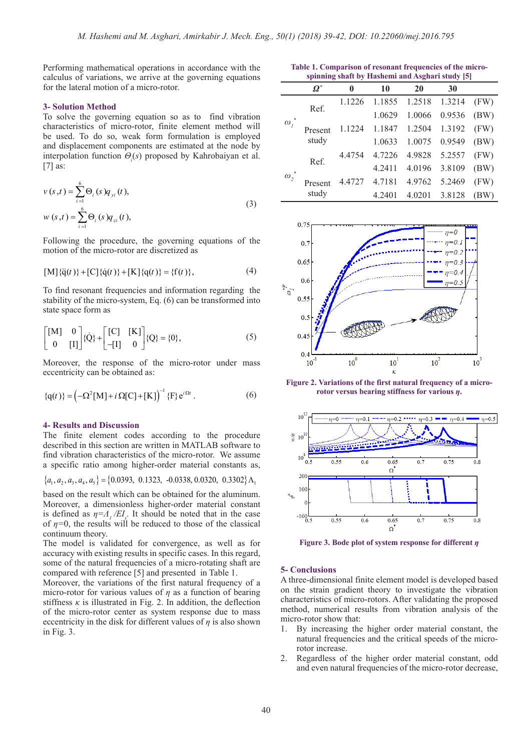Performing mathematical operations in accordance with the Performing mathematical operations in accordance with the calculus of variations, we arrive at the governing equations for the lateral motion of a micro-rotor. for the lateral motion of a micro-rotor. *L*  $\mathcal{L}$  *L*  $\mathcal{L}$  *L*  $\mathcal{L}$  *L*  $\mathcal{L}$  *L*  $\mathcal{L}$  *L*  $\mathcal{L}$  *L*  $\mathcal{L}$   $\mathcal{L}$   $\mathcal{L}$   $\mathcal{L}$   $\mathcal{L}$   $\mathcal{L}$   $\mathcal{L}$   $\mathcal{L}$   $\mathcal{L}$   $\mathcal{L}$   $\mathcal{L}$   $\mathcal{L}$   $\mathcal{L}$   $\mathcal{L}$   $\mathcal{L}$   $\mathcal{$ 

#### **3**- Solution Method *s* a mero-rotor.<br>**3** Solution Method ıtioı

**3- Solution Method**<br>To solve the governing equation so as to find vibration *characteristics* of micro-rotor, finite element method will be used. To do so, weak form formulation is employed characteristics of micro-rotor, finite element method will<br>be used. To do so, weak form formulation is employed and displacement components are estimated at the node by  $\mathcal{L}_{\mathbf{z}}$  and  $\mathcal{L}_{\mathbf{z}}$  is the node by  $\mathcal{L}_{\mathbf{z}}$  behavior at all and displacement components are estimated at the node by<br>interpolation function *Θ*<sub>*i*</sub>(*s*) proposed by Kahrobaiyan et al.  $\left[7\right]$  as: d displacement components and<br>ernolation function  $\Theta(s)$  prop and displacement components are estimated a<br>interpolation function  $\Theta_i(s)$  proposed by Kahr<br>[7] as: ens<br>d. ∃<br>...

$$
v(s,t) = \sum_{i=1}^{6} \Theta_i(s) q_{yi}(t),
$$
  

$$
w(s,t) = \sum_{i=1}^{6} \Theta_i(s) q_{zi}(t),
$$
 (3)

*r* onlowing the procedure, the governing<br>motion of the micro-rotor are discretized as Following the procedure, the governing equations of the

[M]{
$$
\ddot{q}(t)
$$
}+[C]{ $\dot{q}(t)$ }+[K]{ $q(t)$ } = {f(t)}, (4)

 $\begin{bmatrix} \text{Iw1yq} & \text{Iy + } \text{Iv1yq} & \text{Iy + } \text{Iw1yq} & \text{Iy + } \text{Iw1yq} & \text{Iy + } \text{Iw1yq} & \text{Iy + } \text{Iw1yq} & \text{Iy + } \text{Iw1yq} & \text{Iy + } \text{Iy + } \text{Iy + } \text{Iy + } \text{Iy + } \text{Iy + } \text{Iy + } \text{Iy + } \text{Iy + } \text{Iy + } \text{Iy + } \text{Iy + } \text{Iy + } \text{Iy + } \text{I$  ${\rm Im} \, {\rm F}$   ${\rm Im} \, {\rm Im} \, {\rm Im} \, {\rm Im} \, {\rm Im} \, {\rm Im} \, {\rm Im} \, {\rm Im} \, {\rm Im} \, {\rm Im} \, {\rm Im} \, {\rm Im} \, {\rm Im} \, {\rm Im} \, {\rm Im} \, {\rm Im} \, {\rm Im} \, {\rm Im} \, {\rm Im} \, {\rm Im} \, {\rm Im} \, {\rm Im} \, {\rm Im} \, {\rm Im} \, {\rm Im} \, {\rm Im} \, {\rm Im} \, {\rm Im} \, {\rm Im} \, {\rm Im} \, {\rm Im} \, {\rm Im} \, {\rm Im} \, {\rm Im} \, {\rm Im$ stability of the micro-system, Eq. (6) can be transformed into state space form as state space form as<br>state space form as

$$
\begin{bmatrix} [M] & 0 \\ 0 & [I] \end{bmatrix} \{\dot{Q}\} + \begin{bmatrix} [C] & [K] \\ -[I] & 0 \end{bmatrix} \{Q\} = \{0\},
$$
 (5)

eccentricity can be obtained as: Moreover, the response of the micro-rotor under mass

$$
\{q(t)\} = \left(-\Omega^2[M] + i\,\Omega[C] + [K]\right)^{-1} \{F\} e^{i\Omega t} \,. \tag{6}
$$

## **4- Results and Discussion**

The finite element codes according to the procedure described in this section are written in MATLAB software to find vibration characteristics of the micro-rotor. We assume a specific ratio among higher-order material constants as,

$$
\{a_1, a_2, a_3, a_4, a_5\} = \{0.0393, 0.1323, -0.0338, 0.0320, 0.3302\} \Lambda_1
$$

based on the result which can be obtained for the aluminum. Moreover, a dimensionless higher-order material constant is defined as  $\eta = A_1 / EI$ . It should be noted that in the case of  $\eta$ =0, the results will be reduced to those of the classical continuum theory.

The model is validated for convergence, as well as for accuracy with existing results in specific cases. In this regard, some of the natural frequencies of a micro-rotating shaft are compared with reference [5] and presented in Table 1.

Moreover, the variations of the first natural frequency of a micro-rotor for various values of *η* as a function of bearing stiffness  $\kappa$  is illustrated in Fig. 2. In addition, the deflection of the micro-rotor center as system response due to mass eccentricity in the disk for different values of *η* is also shown in Fig. 3.

**Table 1. Comparison of resonant frequencies of the microspinning shaft by Hashemi and Asghari study [5]**

|                 | $\boldsymbol{\varOmega}^*$ | 0      | 10     | 20     | 30     |      |
|-----------------|----------------------------|--------|--------|--------|--------|------|
| ×<br>$\omega$ , | Ref.                       | 1.1226 | 1.1855 | 1.2518 | 1.3214 | (FW) |
|                 |                            |        | 1.0629 | 1.0066 | 0.9536 | (BW) |
|                 | Present<br>study           | 1.1224 | 1.1847 | 1.2504 | 1.3192 | (FW) |
|                 |                            |        | 1.0633 | 1.0075 | 0.9549 | (BW) |
| $\omega$ ,      | Ref.                       | 4.4754 | 4.7226 | 4.9828 | 5.2557 | (FW) |
|                 |                            |        | 4.2411 | 4.0196 | 3.8109 | (BW) |
|                 | Present<br>study           | 4.4727 | 4.7181 | 4.9762 | 5.2469 | (FW) |
|                 |                            |        | 4.2401 | 4.0201 | 3.8128 | (BW) |



**Figure 2. Variations of the first natural frequency of a microrotor versus bearing stiffness for various** *η***.**



**Figure 3. Bode plot of system response for different** *η*

## **5- Conclusions**

A three-dimensional finite element model is developed based on the strain gradient theory to investigate the vibration characteristics of micro-rotors. After validating the proposed method, numerical results from vibration analysis of the micro-rotor show that:

- 1. By increasing the higher order material constant, the natural frequencies and the critical speeds of the microrotor increase.
- 2. Regardless of the higher order material constant, odd and even natural frequencies of the micro-rotor decrease,